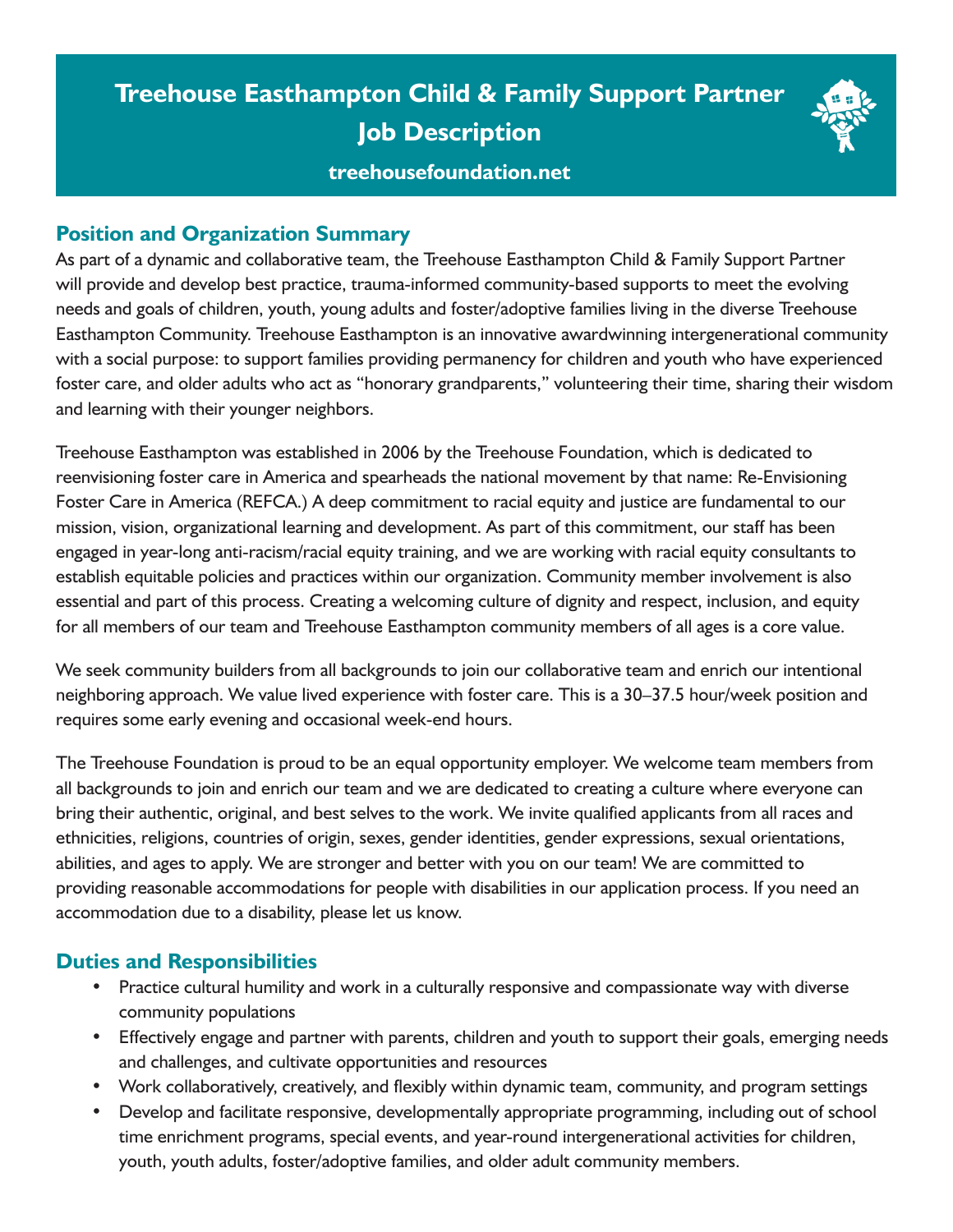# **Treehouse Easthampton Child & Family Support Partner Job Description**

## **[treehousefoundation.net](http://treehousefoundation.net)**

### **Position and Organization Summary**

As part of a dynamic and collaborative team, the Treehouse Easthampton Child & Family Support Partner will provide and develop best practice, trauma-informed community-based supports to meet the evolving needs and goals of children, youth, young adults and foster/adoptive families living in the diverse Treehouse Easthampton Community. Treehouse Easthampton is an innovative awardwinning intergenerational community with a social purpose: to support families providing permanency for children and youth who have experienced foster care, and older adults who act as "honorary grandparents," volunteering their time, sharing their wisdom and learning with their younger neighbors.

Treehouse Easthampton was established in 2006 by the Treehouse Foundation, which is dedicated to reenvisioning foster care in America and spearheads the national movement by that name: Re-Envisioning Foster Care in America (REFCA.) A deep commitment to racial equity and justice are fundamental to our mission, vision, organizational learning and development. As part of this commitment, our staff has been engaged in year-long anti-racism/racial equity training, and we are working with racial equity consultants to establish equitable policies and practices within our organization. Community member involvement is also essential and part of this process. Creating a welcoming culture of dignity and respect, inclusion, and equity for all members of our team and Treehouse Easthampton community members of all ages is a core value.

We seek community builders from all backgrounds to join our collaborative team and enrich our intentional neighboring approach. We value lived experience with foster care. This is a 30–37.5 hour/week position and requires some early evening and occasional week-end hours.

The Treehouse Foundation is proud to be an equal opportunity employer. We welcome team members from all backgrounds to join and enrich our team and we are dedicated to creating a culture where everyone can bring their authentic, original, and best selves to the work. We invite qualified applicants from all races and ethnicities, religions, countries of origin, sexes, gender identities, gender expressions, sexual orientations, abilities, and ages to apply. We are stronger and better with you on our team! We are committed to providing reasonable accommodations for people with disabilities in our application process. If you need an accommodation due to a disability, please let us know.

#### **Duties and Responsibilities**

- Practice cultural humility and work in a culturally responsive and compassionate way with diverse community populations
- Effectively engage and partner with parents, children and youth to support their goals, emerging needs and challenges, and cultivate opportunities and resources
- Work collaboratively, creatively, and flexibly within dynamic team, community, and program settings
- Develop and facilitate responsive, developmentally appropriate programming, including out of school time enrichment programs, special events, and year-round intergenerational activities for children, youth, youth adults, foster/adoptive families, and older adult community members.